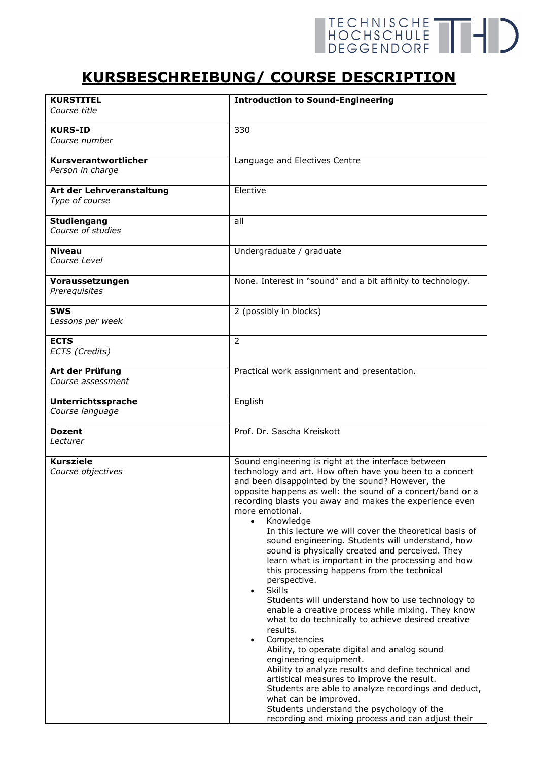## TECHNISCHE THE

## **KURSBESCHREIBUNG/ COURSE DESCRIPTION**

| <b>KURSTITEL</b><br>Course title            | <b>Introduction to Sound-Engineering</b>                                                        |
|---------------------------------------------|-------------------------------------------------------------------------------------------------|
|                                             |                                                                                                 |
| <b>KURS-ID</b>                              | 330                                                                                             |
| Course number                               |                                                                                                 |
|                                             |                                                                                                 |
| Kursverantwortlicher                        | Language and Electives Centre                                                                   |
| Person in charge                            |                                                                                                 |
|                                             | Elective                                                                                        |
| Art der Lehrveranstaltung<br>Type of course |                                                                                                 |
|                                             |                                                                                                 |
| <b>Studiengang</b>                          | all                                                                                             |
| Course of studies                           |                                                                                                 |
|                                             |                                                                                                 |
| <b>Niveau</b>                               | Undergraduate / graduate                                                                        |
| <i>Course Level</i>                         |                                                                                                 |
|                                             | None. Interest in "sound" and a bit affinity to technology.                                     |
| Voraussetzungen<br>Prerequisites            |                                                                                                 |
|                                             |                                                                                                 |
| <b>SWS</b>                                  | 2 (possibly in blocks)                                                                          |
| Lessons per week                            |                                                                                                 |
|                                             |                                                                                                 |
| <b>ECTS</b>                                 | $\overline{2}$                                                                                  |
| ECTS (Credits)                              |                                                                                                 |
|                                             |                                                                                                 |
| Art der Prüfung<br><i>Course assessment</i> | Practical work assignment and presentation.                                                     |
|                                             |                                                                                                 |
| Unterrichtssprache                          | English                                                                                         |
| Course language                             |                                                                                                 |
|                                             |                                                                                                 |
| <b>Dozent</b>                               | Prof. Dr. Sascha Kreiskott                                                                      |
| Lecturer                                    |                                                                                                 |
| <b>Kursziele</b>                            | Sound engineering is right at the interface between                                             |
| Course objectives                           | technology and art. How often have you been to a concert                                        |
|                                             | and been disappointed by the sound? However, the                                                |
|                                             | opposite happens as well: the sound of a concert/band or a                                      |
|                                             | recording blasts you away and makes the experience even                                         |
|                                             | more emotional.                                                                                 |
|                                             | Knowledge<br>$\bullet$                                                                          |
|                                             | In this lecture we will cover the theoretical basis of                                          |
|                                             | sound engineering. Students will understand, how                                                |
|                                             | sound is physically created and perceived. They                                                 |
|                                             | learn what is important in the processing and how<br>this processing happens from the technical |
|                                             | perspective.                                                                                    |
|                                             | <b>Skills</b><br>$\bullet$                                                                      |
|                                             | Students will understand how to use technology to                                               |
|                                             | enable a creative process while mixing. They know                                               |
|                                             | what to do technically to achieve desired creative                                              |
|                                             | results.                                                                                        |
|                                             | Competencies<br>$\bullet$                                                                       |
|                                             | Ability, to operate digital and analog sound<br>engineering equipment.                          |
|                                             | Ability to analyze results and define technical and                                             |
|                                             | artistical measures to improve the result.                                                      |
|                                             | Students are able to analyze recordings and deduct,                                             |
|                                             | what can be improved.                                                                           |
|                                             | Students understand the psychology of the                                                       |
|                                             | recording and mixing process and can adjust their                                               |